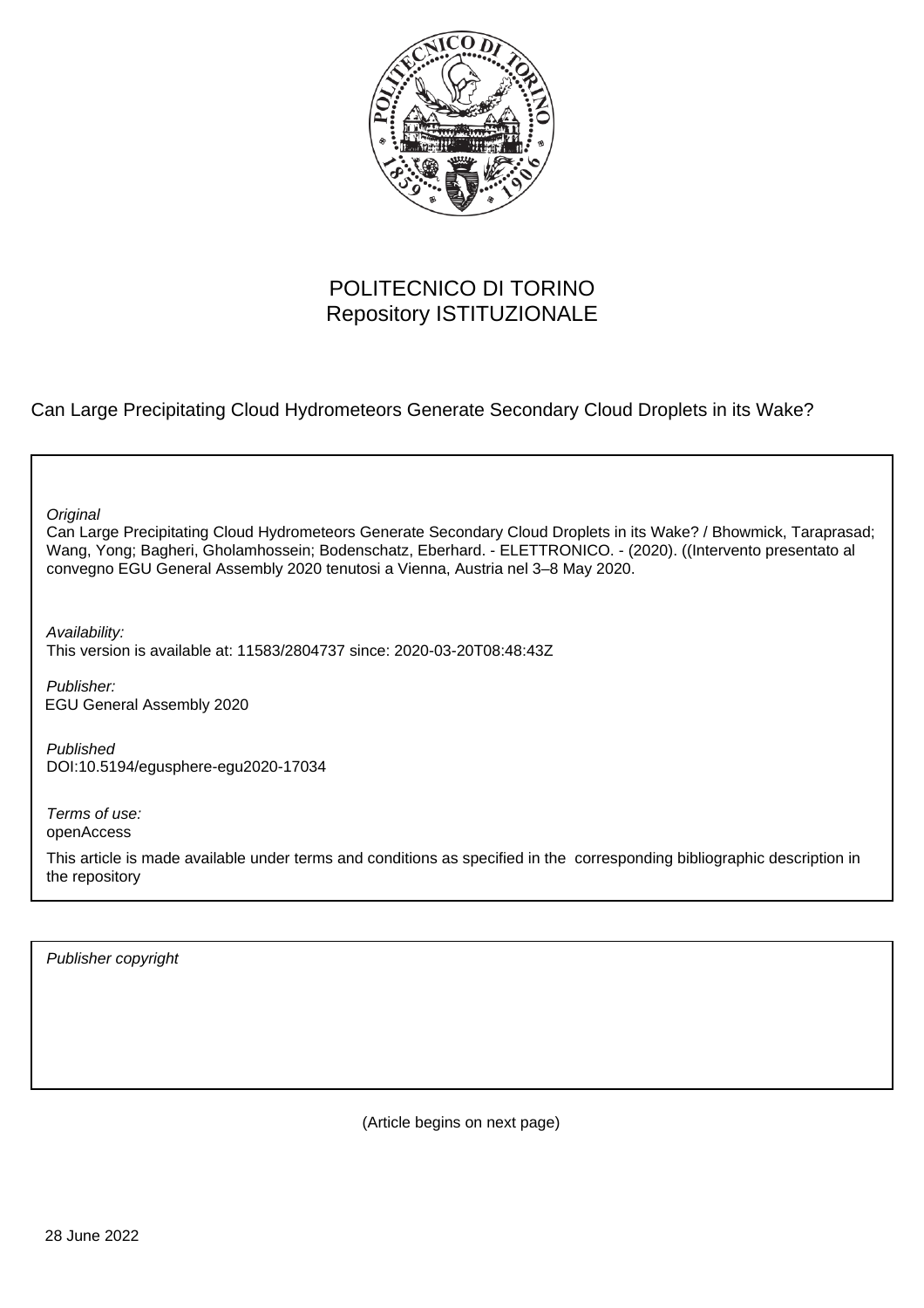

## POLITECNICO DI TORINO Repository ISTITUZIONALE

Can Large Precipitating Cloud Hydrometeors Generate Secondary Cloud Droplets in its Wake?

**Original** 

Can Large Precipitating Cloud Hydrometeors Generate Secondary Cloud Droplets in its Wake? / Bhowmick, Taraprasad; Wang, Yong; Bagheri, Gholamhossein; Bodenschatz, Eberhard. - ELETTRONICO. - (2020). ((Intervento presentato al convegno EGU General Assembly 2020 tenutosi a Vienna, Austria nel 3–8 May 2020.

Availability:

This version is available at: 11583/2804737 since: 2020-03-20T08:48:43Z

Publisher: EGU General Assembly 2020

Published DOI:10.5194/egusphere-egu2020-17034

Terms of use: openAccess

This article is made available under terms and conditions as specified in the corresponding bibliographic description in the repository

Publisher copyright

(Article begins on next page)